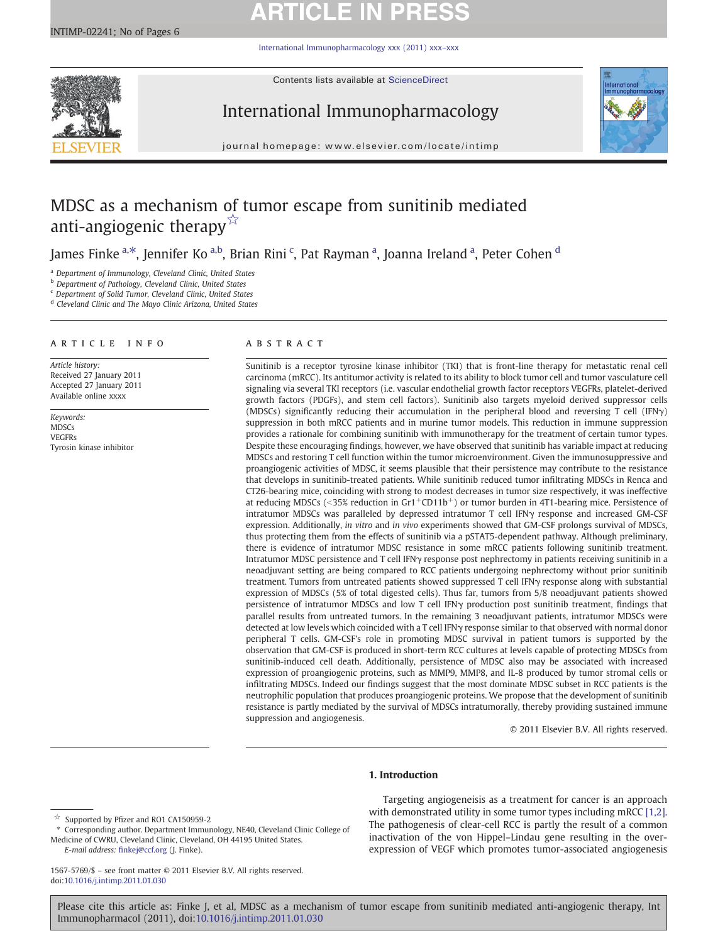# **ARTICLE IN PR**

[International Immunopharmacology xxx \(2011\) xxx](http://dx.doi.org/10.1016/j.intimp.2011.01.030)–xxx



Contents lists available at ScienceDirect

# International Immunopharmacology



journal homepage: www.elsevier.com/locate/intimp

# MDSC as a mechanism of tumor escape from sunitinib mediated anti-angiogenic therapy $\mathbb{X}$

James Finke <sup>a,\*</sup>, Jennifer Ko <sup>a,b</sup>, Brian Rini <sup>c</sup>, Pat Rayman <sup>a</sup>, Joanna Ireland <sup>a</sup>, Peter Cohen <sup>d</sup>

<sup>a</sup> Department of Immunology, Cleveland Clinic, United States

**b** Department of Pathology, Cleveland Clinic, United States

<sup>c</sup> Department of Solid Tumor, Cleveland Clinic, United States

<sup>d</sup> Cleveland Clinic and The Mayo Clinic Arizona, United States

# article info abstract

Article history: Received 27 January 2011 Accepted 27 January 2011 Available online xxxx

Keywords: MDSCs VEGFRs Tyrosin kinase inhibitor

Sunitinib is a receptor tyrosine kinase inhibitor (TKI) that is front-line therapy for metastatic renal cell carcinoma (mRCC). Its antitumor activity is related to its ability to block tumor cell and tumor vasculature cell signaling via several TKI receptors (i.e. vascular endothelial growth factor receptors VEGFRs, platelet-derived growth factors (PDGFs), and stem cell factors). Sunitinib also targets myeloid derived suppressor cells (MDSCs) significantly reducing their accumulation in the peripheral blood and reversing T cell (IFNγ) suppression in both mRCC patients and in murine tumor models. This reduction in immune suppression provides a rationale for combining sunitinib with immunotherapy for the treatment of certain tumor types. Despite these encouraging findings, however, we have observed that sunitinib has variable impact at reducing MDSCs and restoring T cell function within the tumor microenvironment. Given the immunosuppressive and proangiogenic activities of MDSC, it seems plausible that their persistence may contribute to the resistance that develops in sunitinib-treated patients. While sunitinib reduced tumor infiltrating MDSCs in Renca and CT26-bearing mice, coinciding with strong to modest decreases in tumor size respectively, it was ineffective at reducing MDSCs (<35% reduction in Gr1+CD11b+) or tumor burden in 4T1-bearing mice. Persistence of intratumor MDSCs was paralleled by depressed intratumor T cell IFNγ response and increased GM-CSF expression. Additionally, in vitro and in vivo experiments showed that GM-CSF prolongs survival of MDSCs, thus protecting them from the effects of sunitinib via a pSTAT5-dependent pathway. Although preliminary, there is evidence of intratumor MDSC resistance in some mRCC patients following sunitinib treatment. Intratumor MDSC persistence and T cell IFNγ response post nephrectomy in patients receiving sunitinib in a neoadjuvant setting are being compared to RCC patients undergoing nephrectomy without prior sunitinib treatment. Tumors from untreated patients showed suppressed T cell IFNγ response along with substantial expression of MDSCs (5% of total digested cells). Thus far, tumors from 5/8 neoadjuvant patients showed persistence of intratumor MDSCs and low T cell IFNγ production post sunitinib treatment, findings that parallel results from untreated tumors. In the remaining 3 neoadjuvant patients, intratumor MDSCs were detected at low levels which coincided with a T cell IFNγ response similar to that observed with normal donor peripheral T cells. GM-CSF's role in promoting MDSC survival in patient tumors is supported by the observation that GM-CSF is produced in short-term RCC cultures at levels capable of protecting MDSCs from sunitinib-induced cell death. Additionally, persistence of MDSC also may be associated with increased expression of proangiogenic proteins, such as MMP9, MMP8, and IL-8 produced by tumor stromal cells or infiltrating MDSCs. Indeed our findings suggest that the most dominate MDSC subset in RCC patients is the neutrophilic population that produces proangiogenic proteins. We propose that the development of sunitinib resistance is partly mediated by the survival of MDSCs intratumorally, thereby providing sustained immune suppression and angiogenesis.

© 2011 Elsevier B.V. All rights reserved.

# 1. Introduction

Targeting angiogeneisis as a treatment for cancer is an approach with demonstrated utility in some tumor types including mRCC [\[1,2\].](#page-4-0) The pathogenesis of clear-cell RCC is partly the result of a common inactivation of the von Hippel–Lindau gene resulting in the overexpression of VEGF which promotes tumor-associated angiogenesis

<sup>☆</sup> Supported by Pfizer and RO1 CA150959-2

<sup>⁎</sup> Corresponding author. Department Immunology, NE40, Cleveland Clinic College of Medicine of CWRU, Cleveland Clinic, Cleveland, OH 44195 United States. E-mail address: fi[nkej@ccf.org](mailto:finkej@ccf.org) (J. Finke).

<sup>1567-5769/\$</sup> – see front matter © 2011 Elsevier B.V. All rights reserved. doi:[10.1016/j.intimp.2011.01.030](http://dx.doi.org/10.1016/j.intimp.2011.01.030)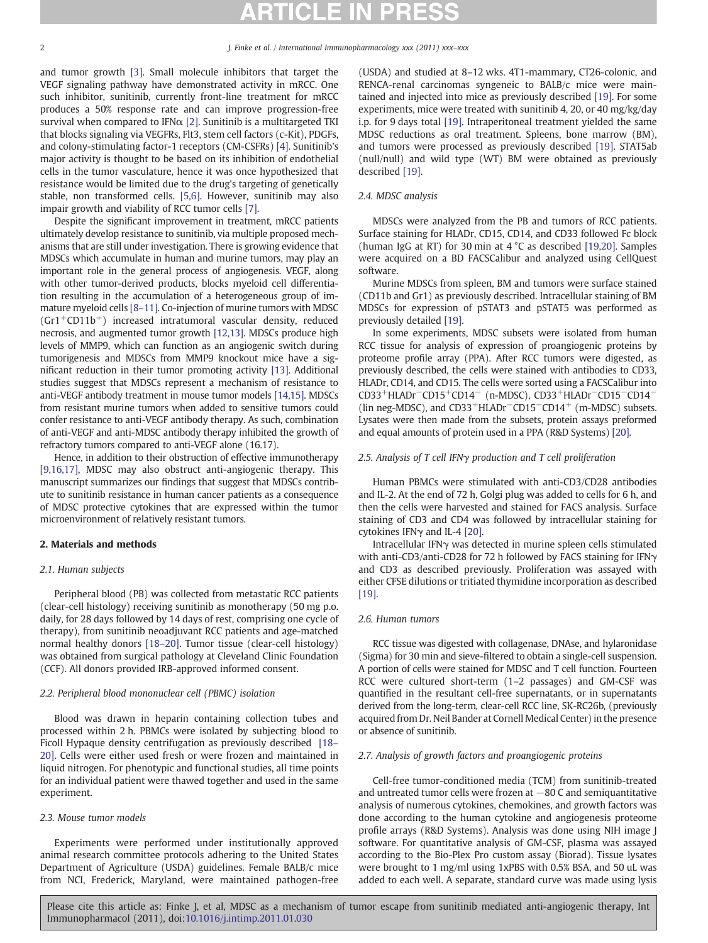and tumor growth [\[3\].](#page-4-0) Small molecule inhibitors that target the VEGF signaling pathway have demonstrated activity in mRCC. One such inhibitor, sunitinib, currently front-line treatment for mRCC produces a 50% response rate and can improve progression-free survival when compared to IFN $\alpha$  [\[2\].](#page-4-0) Sunitinib is a multitargeted TKI that blocks signaling via VEGFRs, Flt3, stem cell factors (c-Kit), PDGFs, and colony-stimulating factor-1 receptors (CM-CSFRs) [\[4\].](#page-4-0) Sunitinib's major activity is thought to be based on its inhibition of endothelial cells in the tumor vasculature, hence it was once hypothesized that resistance would be limited due to the drug's targeting of genetically stable, non transformed cells. [\[5,6\]](#page-4-0). However, sunitinib may also impair growth and viability of RCC tumor cells [\[7\]](#page-4-0).

Despite the significant improvement in treatment, mRCC patients ultimately develop resistance to sunitinib, via multiple proposed mechanisms that are still under investigation. There is growing evidence that MDSCs which accumulate in human and murine tumors, may play an important role in the general process of angiogenesis. VEGF, along with other tumor-derived products, blocks myeloid cell differentiation resulting in the accumulation of a heterogeneous group of immature myeloid cells [8–[11\].](#page-4-0) Co-injection of murine tumors with MDSC  $(Gr1+CD11b<sup>+</sup>)$  increased intratumoral vascular density, reduced necrosis, and augmented tumor growth [\[12,13\].](#page-4-0) MDSCs produce high levels of MMP9, which can function as an angiogenic switch during tumorigenesis and MDSCs from MMP9 knockout mice have a significant reduction in their tumor promoting activity [\[13\].](#page-4-0) Additional studies suggest that MDSCs represent a mechanism of resistance to anti-VEGF antibody treatment in mouse tumor models [\[14,15\].](#page-4-0) MDSCs from resistant murine tumors when added to sensitive tumors could confer resistance to anti-VEGF antibody therapy. As such, combination of anti-VEGF and anti-MDSC antibody therapy inhibited the growth of refractory tumors compared to anti-VEGF alone (16.17).

Hence, in addition to their obstruction of effective immunotherapy [\[9,16,17\],](#page-4-0) MDSC may also obstruct anti-angiogenic therapy. This manuscript summarizes our findings that suggest that MDSCs contribute to sunitinib resistance in human cancer patients as a consequence of MDSC protective cytokines that are expressed within the tumor microenvironment of relatively resistant tumors.

## 2. Materials and methods

## 2.1. Human subjects

Peripheral blood (PB) was collected from metastatic RCC patients (clear-cell histology) receiving sunitinib as monotherapy (50 mg p.o. daily, for 28 days followed by 14 days of rest, comprising one cycle of therapy), from sunitinib neoadjuvant RCC patients and age-matched normal healthy donors [18–[20\].](#page-4-0) Tumor tissue (clear-cell histology) was obtained from surgical pathology at Cleveland Clinic Foundation (CCF). All donors provided IRB-approved informed consent.

# 2.2. Peripheral blood mononuclear cell (PBMC) isolation

Blood was drawn in heparin containing collection tubes and processed within 2 h. PBMCs were isolated by subjecting blood to Ficoll Hypaque density centrifugation as previously described [\[18](#page-4-0)– [20\].](#page-4-0) Cells were either used fresh or were frozen and maintained in liquid nitrogen. For phenotypic and functional studies, all time points for an individual patient were thawed together and used in the same experiment.

# 2.3. Mouse tumor models

Experiments were performed under institutionally approved animal research committee protocols adhering to the United States Department of Agriculture (USDA) guidelines. Female BALB/c mice from NCI, Frederick, Maryland, were maintained pathogen-free (USDA) and studied at 8–12 wks. 4T1-mammary, CT26-colonic, and RENCA-renal carcinomas syngeneic to BALB/c mice were maintained and injected into mice as previously described [\[19\].](#page-4-0) For some experiments, mice were treated with sunitinib 4, 20, or 40 mg/kg/day i.p. for 9 days total [\[19\]](#page-4-0). Intraperitoneal treatment yielded the same MDSC reductions as oral treatment. Spleens, bone marrow (BM), and tumors were processed as previously described [\[19\]](#page-4-0). STAT5ab (null/null) and wild type (WT) BM were obtained as previously described [\[19\].](#page-4-0)

# 2.4. MDSC analysis

MDSCs were analyzed from the PB and tumors of RCC patients. Surface staining for HLADr, CD15, CD14, and CD33 followed Fc block (human IgG at RT) for 30 min at 4 °C as described [\[19,20\].](#page-4-0) Samples were acquired on a BD FACSCalibur and analyzed using CellQuest software.

Murine MDSCs from spleen, BM and tumors were surface stained (CD11b and Gr1) as previously described. Intracellular staining of BM MDSCs for expression of pSTAT3 and pSTAT5 was performed as previously detailed [\[19\].](#page-4-0)

In some experiments, MDSC subsets were isolated from human RCC tissue for analysis of expression of proangiogenic proteins by proteome profile array (PPA). After RCC tumors were digested, as previously described, the cells were stained with antibodies to CD33, HLADr, CD14, and CD15. The cells were sorted using a FACSCalibur into CD33+HLADr−CD15+CD14<sup>−</sup> (n-MDSC), CD33+HLADr<sup>−</sup>CD15−CD14<sup>−</sup> (lin neg-MDSC), and CD33+HLADr<sup>−</sup>CD15<sup>−</sup>CD14+ (m-MDSC) subsets. Lysates were then made from the subsets, protein assays preformed and equal amounts of protein used in a PPA (R&D Systems) [\[20\].](#page-4-0)

### 2.5. Analysis of T cell IFNγ production and T cell proliferation

Human PBMCs were stimulated with anti-CD3/CD28 antibodies and IL-2. At the end of 72 h, Golgi plug was added to cells for 6 h, and then the cells were harvested and stained for FACS analysis. Surface staining of CD3 and CD4 was followed by intracellular staining for cytokines IFNγ and IL-4 [\[20\]](#page-4-0).

Intracellular IFNγ was detected in murine spleen cells stimulated with anti-CD3/anti-CD28 for 72 h followed by FACS staining for IFNγ and CD3 as described previously. Proliferation was assayed with either CFSE dilutions or tritiated thymidine incorporation as described [\[19\]](#page-4-0).

# 2.6. Human tumors

RCC tissue was digested with collagenase, DNAse, and hylaronidase (Sigma) for 30 min and sieve-filtered to obtain a single-cell suspension. A portion of cells were stained for MDSC and T cell function. Fourteen RCC were cultured short-term (1–2 passages) and GM-CSF was quantified in the resultant cell-free supernatants, or in supernatants derived from the long-term, clear-cell RCC line, SK-RC26b, (previously acquired from Dr. Neil Bander at Cornell Medical Center) in the presence or absence of sunitinib.

### 2.7. Analysis of growth factors and proangiogenic proteins

Cell-free tumor-conditioned media (TCM) from sunitinib-treated and untreated tumor cells were frozen at −80 C and semiquantitative analysis of numerous cytokines, chemokines, and growth factors was done according to the human cytokine and angiogenesis proteome profile arrays (R&D Systems). Analysis was done using NIH image J software. For quantitative analysis of GM-CSF, plasma was assayed according to the Bio-Plex Pro custom assay (Biorad). Tissue lysates were brought to 1 mg/ml using 1xPBS with 0.5% BSA, and 50 uL was added to each well. A separate, standard curve was made using lysis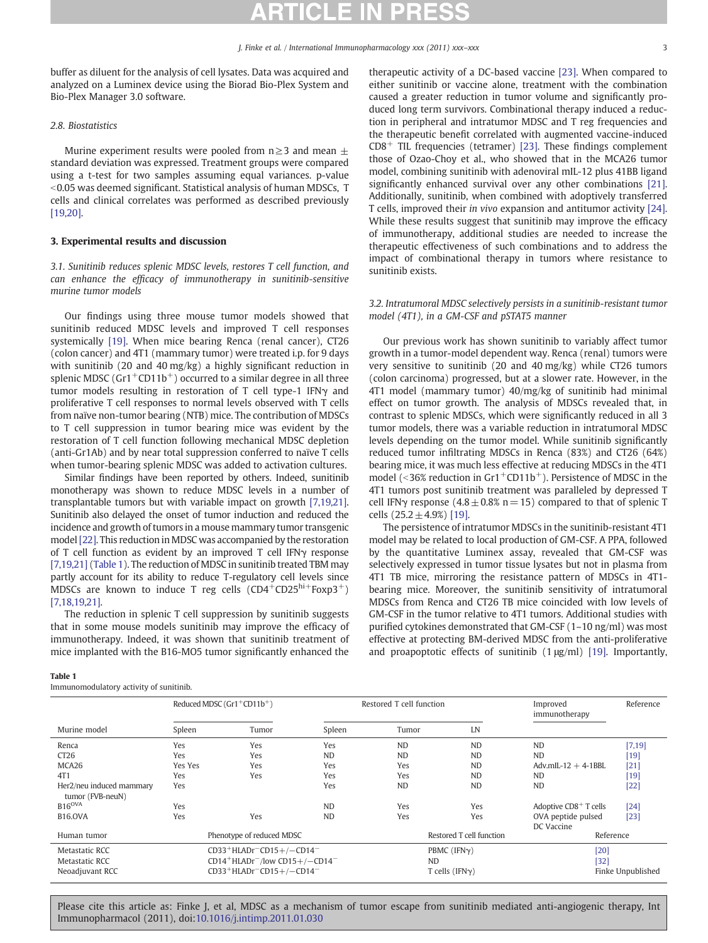buffer as diluent for the analysis of cell lysates. Data was acquired and analyzed on a Luminex device using the Biorad Bio-Plex System and Bio-Plex Manager 3.0 software.

# 2.8. Biostatistics

Murine experiment results were pooled from  $n \geq 3$  and mean  $\pm$ standard deviation was expressed. Treatment groups were compared using a t-test for two samples assuming equal variances. p-value  $<$  0.05 was deemed significant. Statistical analysis of human MDSCs, T cells and clinical correlates was performed as described previously [\[19,20\]](#page-4-0).

# 3. Experimental results and discussion

3.1. Sunitinib reduces splenic MDSC levels, restores T cell function, and can enhance the efficacy of immunotherapy in sunitinib-sensitive murine tumor models

Our findings using three mouse tumor models showed that sunitinib reduced MDSC levels and improved T cell responses systemically [\[19\].](#page-4-0) When mice bearing Renca (renal cancer), CT26 (colon cancer) and 4T1 (mammary tumor) were treated i.p. for 9 days with sunitinib (20 and 40 mg/kg) a highly significant reduction in splenic MDSC (Gr1<sup>+</sup>CD11b<sup>+</sup>) occurred to a similar degree in all three tumor models resulting in restoration of T cell type-1 IFNγ and proliferative T cell responses to normal levels observed with T cells from naïve non-tumor bearing (NTB) mice. The contribution of MDSCs to T cell suppression in tumor bearing mice was evident by the restoration of T cell function following mechanical MDSC depletion (anti-Gr1Ab) and by near total suppression conferred to naïve T cells when tumor-bearing splenic MDSC was added to activation cultures.

Similar findings have been reported by others. Indeed, sunitinib monotherapy was shown to reduce MDSC levels in a number of transplantable tumors but with variable impact on growth [\[7,19,21\].](#page-4-0) Sunitinib also delayed the onset of tumor induction and reduced the incidence and growth of tumors in a mouse mammary tumor transgenic model [\[22\].](#page-4-0) This reduction in MDSC was accompanied by the restoration of T cell function as evident by an improved T cell IFNγ response [\[7,19,21\]](#page-4-0) (Table 1). The reduction of MDSC in sunitinib treated TBM may partly account for its ability to reduce T-regulatory cell levels since MDSCs are known to induce T reg cells  $(CD4+CD25^{\text{hi}+}Foxp3^{+})$ [\[7,18,19,21\]](#page-4-0).

The reduction in splenic T cell suppression by sunitinib suggests that in some mouse models sunitinib may improve the efficacy of immunotherapy. Indeed, it was shown that sunitinib treatment of mice implanted with the B16-MO5 tumor significantly enhanced the

### Table 1

Immunomodulatory activity of sunitinib.

therapeutic activity of a DC-based vaccine [\[23\].](#page-4-0) When compared to either sunitinib or vaccine alone, treatment with the combination caused a greater reduction in tumor volume and significantly produced long term survivors. Combinational therapy induced a reduction in peripheral and intratumor MDSC and T reg frequencies and the therapeutic benefit correlated with augmented vaccine-induced  $CD8<sup>+</sup>$  TIL frequencies (tetramer) [\[23\]](#page-4-0). These findings complement those of Ozao-Choy et al., who showed that in the MCA26 tumor model, combining sunitinib with adenoviral mIL-12 plus 41BB ligand significantly enhanced survival over any other combinations [\[21\].](#page-4-0) Additionally, sunitinib, when combined with adoptively transferred T cells, improved their in vivo expansion and antitumor activity [\[24\].](#page-4-0) While these results suggest that sunitinib may improve the efficacy of immunotherapy, additional studies are needed to increase the therapeutic effectiveness of such combinations and to address the impact of combinational therapy in tumors where resistance to sunitinib exists.

# 3.2. Intratumoral MDSC selectively persists in a sunitinib-resistant tumor model (4T1), in a GM-CSF and pSTAT5 manner

Our previous work has shown sunitinib to variably affect tumor growth in a tumor-model dependent way. Renca (renal) tumors were very sensitive to sunitinib (20 and 40 mg/kg) while CT26 tumors (colon carcinoma) progressed, but at a slower rate. However, in the 4T1 model (mammary tumor) 40/mg/kg of sunitinib had minimal effect on tumor growth. The analysis of MDSCs revealed that, in contrast to splenic MDSCs, which were significantly reduced in all 3 tumor models, there was a variable reduction in intratumoral MDSC levels depending on the tumor model. While sunitinib significantly reduced tumor infiltrating MDSCs in Renca (83%) and CT26 (64%) bearing mice, it was much less effective at reducing MDSCs in the 4T1 model ( $\leq$ 36% reduction in Gr1<sup>+</sup>CD11b<sup>+</sup>). Persistence of MDSC in the 4T1 tumors post sunitinib treatment was paralleled by depressed T cell IFNγ response  $(4.8 \pm 0.8\% \text{ n} = 15)$  compared to that of splenic T cells  $(25.2 \pm 4.9\%)$  [\[19\].](#page-4-0)

The persistence of intratumor MDSCs in the sunitinib-resistant 4T1 model may be related to local production of GM-CSF. A PPA, followed by the quantitative Luminex assay, revealed that GM-CSF was selectively expressed in tumor tissue lysates but not in plasma from 4T1 TB mice, mirroring the resistance pattern of MDSCs in 4T1 bearing mice. Moreover, the sunitinib sensitivity of intratumoral MDSCs from Renca and CT26 TB mice coincided with low levels of GM-CSF in the tumor relative to 4T1 tumors. Additional studies with purified cytokines demonstrated that GM-CSF (1–10 ng/ml) was most effective at protecting BM-derived MDSC from the anti-proliferative and proapoptotic effects of sunitinib  $(1 \mu g/ml)$  [\[19\].](#page-4-0) Importantly,

|                                                     | Reduced MDSC $(Gr1 + CD11b^+)$                                                                                                                                             |       | Restored T cell function |                                                     |           | Improved<br>immunotherapy           | Reference |
|-----------------------------------------------------|----------------------------------------------------------------------------------------------------------------------------------------------------------------------------|-------|--------------------------|-----------------------------------------------------|-----------|-------------------------------------|-----------|
| Murine model                                        | Spleen                                                                                                                                                                     | Tumor | Spleen                   | Tumor                                               | LN        |                                     |           |
| Renca                                               | Yes                                                                                                                                                                        | Yes   | Yes                      | <b>ND</b>                                           | <b>ND</b> | <b>ND</b>                           | [7, 19]   |
| CT26                                                | Yes                                                                                                                                                                        | Yes   | <b>ND</b>                | <b>ND</b>                                           | <b>ND</b> | <b>ND</b>                           | $[19]$    |
| MCA26                                               | Yes Yes                                                                                                                                                                    | Yes   | Yes                      | Yes                                                 | <b>ND</b> | Adv.mIL- $12 + 4$ -1BBL             | [21]      |
| 4T1                                                 | Yes                                                                                                                                                                        | Yes   | Yes                      | Yes                                                 | <b>ND</b> | <b>ND</b>                           | 19        |
| Her2/neu induced mammary<br>tumor (FVB-neuN)        | Yes                                                                                                                                                                        |       | Yes                      | <b>ND</b>                                           | <b>ND</b> | <b>ND</b>                           | $[22]$    |
| $B16^{OVA}$                                         | Yes                                                                                                                                                                        |       | <b>ND</b>                | Yes                                                 | Yes       | Adoptive $CDS$ <sup>+</sup> T cells | $[24]$    |
| <b>B16.OVA</b>                                      | Yes                                                                                                                                                                        | Yes   | <b>ND</b>                | Yes                                                 | Yes       | OVA peptide pulsed<br>DC Vaccine    | [23]      |
| Human tumor                                         | Phenotype of reduced MDSC                                                                                                                                                  |       |                          | Restored T cell function                            |           | Reference                           |           |
| Metastatic RCC<br>Metastatic RCC<br>Neoadjuvant RCC | CD33+HLADr <sup>-</sup> CD15+/-CD14 <sup>-</sup><br>CD14 <sup>+</sup> HLADr <sup>-</sup> /low CD15+/-CD14 <sup>-</sup><br>CD33+HLADr <sup>-</sup> CD15+/-CD14 <sup>-</sup> |       |                          | PBMC (IFNy)<br><b>ND</b><br>T cells (IFN $\gamma$ ) |           | [20]<br>$[32]$<br>Finke Unpublished |           |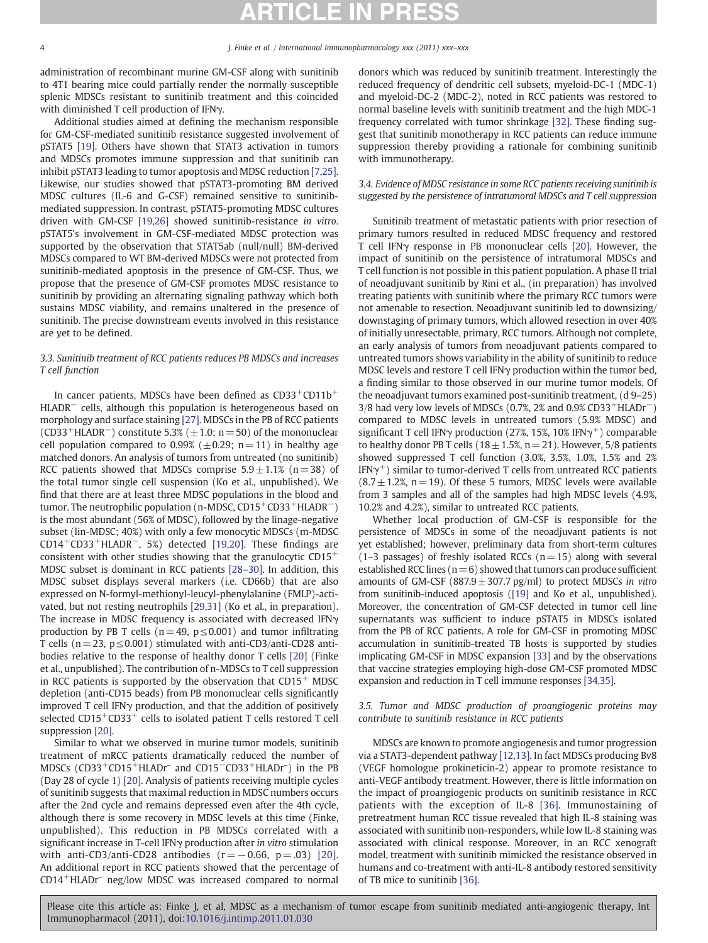administration of recombinant murine GM-CSF along with sunitinib to 4T1 bearing mice could partially render the normally susceptible splenic MDSCs resistant to sunitinib treatment and this coincided with diminished T cell production of IFNγ.

Additional studies aimed at defining the mechanism responsible for GM-CSF-mediated sunitinib resistance suggested involvement of pSTAT5 [\[19\].](#page-4-0) Others have shown that STAT3 activation in tumors and MDSCs promotes immune suppression and that sunitinib can inhibit pSTAT3 leading to tumor apoptosis and MDSC reduction [\[7,25\].](#page-4-0) Likewise, our studies showed that pSTAT3-promoting BM derived MDSC cultures (IL-6 and G-CSF) remained sensitive to sunitinibmediated suppression. In contrast, pSTAT5-promoting MDSC cultures driven with GM-CSF [\[19,26\]](#page-4-0) showed sunitinib-resistance in vitro. pSTAT5's involvement in GM-CSF-mediated MDSC protection was supported by the observation that STAT5ab (null/null) BM-derived MDSCs compared to WT BM-derived MDSCs were not protected from sunitinib-mediated apoptosis in the presence of GM-CSF. Thus, we propose that the presence of GM-CSF promotes MDSC resistance to sunitinib by providing an alternating signaling pathway which both sustains MDSC viability, and remains unaltered in the presence of sunitinib. The precise downstream events involved in this resistance are yet to be defined.

# 3.3. Sunitinib treatment of RCC patients reduces PB MDSCs and increases T cell function

In cancer patients, MDSCs have been defined as CD33+CD11b+ HLADR<sup>−</sup> cells, although this population is heterogeneous based on morphology and surface staining [\[27\].](#page-4-0) MDSCs in the PB of RCC patients (CD33<sup>+</sup>HLADR<sup>-</sup>) constitute 5.3% ( $\pm$ 1.0; n = 50) of the mononuclear cell population compared to 0.99% ( $\pm$ 0.29; n=11) in healthy age matched donors. An analysis of tumors from untreated (no sunitinib) RCC patients showed that MDSCs comprise  $5.9 \pm 1.1\%$  (n=38) of the total tumor single cell suspension (Ko et al., unpublished). We find that there are at least three MDSC populations in the blood and tumor. The neutrophilic population (n-MDSC, CD15<sup>+</sup>CD33<sup>+</sup>HLADR<sup>−</sup>) is the most abundant (56% of MDSC), followed by the linage-negative subset (lin-MDSC; 40%) with only a few monocytic MDSCs (m-MDSC CD14+CD33+HLADR<sup>−</sup>, 5%) detected [\[19,20\]](#page-4-0). These findings are consistent with other studies showing that the granulocytic  $CD15<sup>+</sup>$ MDSC subset is dominant in RCC patients [28–[30\].](#page-4-0) In addition, this MDSC subset displays several markers (i.e. CD66b) that are also expressed on N-formyl-methionyl-leucyl-phenylalanine (FMLP)-activated, but not resting neutrophils [\[29,31\]](#page-4-0) (Ko et al., in preparation). The increase in MDSC frequency is associated with decreased IFNγ production by PB T cells ( $n= 49$ ,  $p \le 0.001$ ) and tumor infiltrating T cells ( $n = 23$ ,  $p \le 0.001$ ) stimulated with anti-CD3/anti-CD28 antibodies relative to the response of healthy donor T cells [\[20\]](#page-4-0) (Finke et al., unpublished). The contribution of n-MDSCs to T cell suppression in RCC patients is supported by the observation that  $CD15<sup>+</sup>$  MDSC depletion (anti-CD15 beads) from PB mononuclear cells significantly improved T cell IFNγ production, and that the addition of positively selected  $CD15^+CD33^+$  cells to isolated patient T cells restored T cell suppression [\[20\]](#page-4-0).

Similar to what we observed in murine tumor models, sunitinib treatment of mRCC patients dramatically reduced the number of MDSCs (CD33+CD15+HLADr– and CD15<sup>−</sup>CD33+HLADr– ) in the PB (Day 28 of cycle 1) [\[20\].](#page-4-0) Analysis of patients receiving multiple cycles of sunitinib suggests that maximal reduction in MDSC numbers occurs after the 2nd cycle and remains depressed even after the 4th cycle, although there is some recovery in MDSC levels at this time (Finke, unpublished). This reduction in PB MDSCs correlated with a significant increase in T-cell IFNγ production after in vitro stimulation with anti-CD3/anti-CD28 antibodies  $(r=-0.66, p=.03)$  [\[20\].](#page-4-0) An additional report in RCC patients showed that the percentage of CD14+HLADr– neg/low MDSC was increased compared to normal

donors which was reduced by sunitinib treatment. Interestingly the reduced frequency of dendritic cell subsets, myeloid-DC-1 (MDC-1) and myeloid-DC-2 (MDC-2), noted in RCC patients was restored to normal baseline levels with sunitinib treatment and the high MDC-1 frequency correlated with tumor shrinkage [\[32\]](#page-5-0). These finding suggest that sunitinib monotherapy in RCC patients can reduce immune suppression thereby providing a rationale for combining sunitinib with immunotherapy.

# 3.4. Evidence of MDSC resistance in some RCC patients receiving sunitinib is suggested by the persistence of intratumoral MDSCs and T cell suppression

Sunitinib treatment of metastatic patients with prior resection of primary tumors resulted in reduced MDSC frequency and restored T cell IFNγ response in PB mononuclear cells [\[20\]](#page-4-0). However, the impact of sunitinib on the persistence of intratumoral MDSCs and T cell function is not possible in this patient population. A phase II trial of neoadjuvant sunitinib by Rini et al., (in preparation) has involved treating patients with sunitinib where the primary RCC tumors were not amenable to resection. Neoadjuvant sunitinib led to downsizing/ downstaging of primary tumors, which allowed resection in over 40% of initially unresectable, primary, RCC tumors. Although not complete, an early analysis of tumors from neoadjuvant patients compared to untreated tumors shows variability in the ability of sunitinib to reduce MDSC levels and restore T cell IFNγ production within the tumor bed, a finding similar to those observed in our murine tumor models. Of the neoadjuvant tumors examined post-sunitinib treatment, (d 9–25) 3/8 had very low levels of MDSCs (0.7%, 2% and 0.9% CD33<sup>+</sup>HLADr<sup>-</sup>) compared to MDSC levels in untreated tumors (5.9% MDSC) and significant T cell IFN $\gamma$  production (27%, 15%, 10% IFN $\gamma^+$ ) comparable to healthy donor PB T cells ( $18 \pm 1.5$ %, n= 21). However, 5/8 patients showed suppressed T cell function (3.0%, 3.5%, 1.0%, 1.5% and 2% IFN $\gamma^+$ ) similar to tumor-derived T cells from untreated RCC patients  $(8.7 \pm 1.2\%)$ , n = 19). Of these 5 tumors, MDSC levels were available from 3 samples and all of the samples had high MDSC levels (4.9%, 10.2% and 4.2%), similar to untreated RCC patients.

Whether local production of GM-CSF is responsible for the persistence of MDSCs in some of the neoadjuvant patients is not yet established; however, preliminary data from short-term cultures  $(1-3$  passages) of freshly isolated RCCs  $(n=15)$  along with several established RCC lines ( $n=6$ ) showed that tumors can produce sufficient amounts of GM-CSF (887.9 $\pm$ 307.7 pg/ml) to protect MDSCs in vitro from sunitinib-induced apoptosis ([\[19\]](#page-4-0) and Ko et al., unpublished). Moreover, the concentration of GM-CSF detected in tumor cell line supernatants was sufficient to induce pSTAT5 in MDSCs isolated from the PB of RCC patients. A role for GM-CSF in promoting MDSC accumulation in sunitinib-treated TB hosts is supported by studies implicating GM-CSF in MDSC expansion [\[33\]](#page-5-0) and by the observations that vaccine strategies employing high-dose GM-CSF promoted MDSC expansion and reduction in T cell immune responses [\[34,35\]](#page-5-0).

# 3.5. Tumor and MDSC production of proangiogenic proteins may contribute to sunitinib resistance in RCC patients

MDSCs are known to promote angiogenesis and tumor progression via a STAT3-dependent pathway [\[12,13\].](#page-4-0) In fact MDSCs producing Bv8 (VEGF homologue prokineticin-2) appear to promote resistance to anti-VEGF antibody treatment. However, there is little information on the impact of proangiogenic products on sunitinib resistance in RCC patients with the exception of IL-8 [\[36\].](#page-5-0) Immunostaining of pretreatment human RCC tissue revealed that high IL-8 staining was associated with sunitinib non-responders, while low IL-8 staining was associated with clinical response. Moreover, in an RCC xenograft model, treatment with sunitinib mimicked the resistance observed in humans and co-treatment with anti-IL-8 antibody restored sensitivity of TB mice to sunitinib [\[36\].](#page-5-0)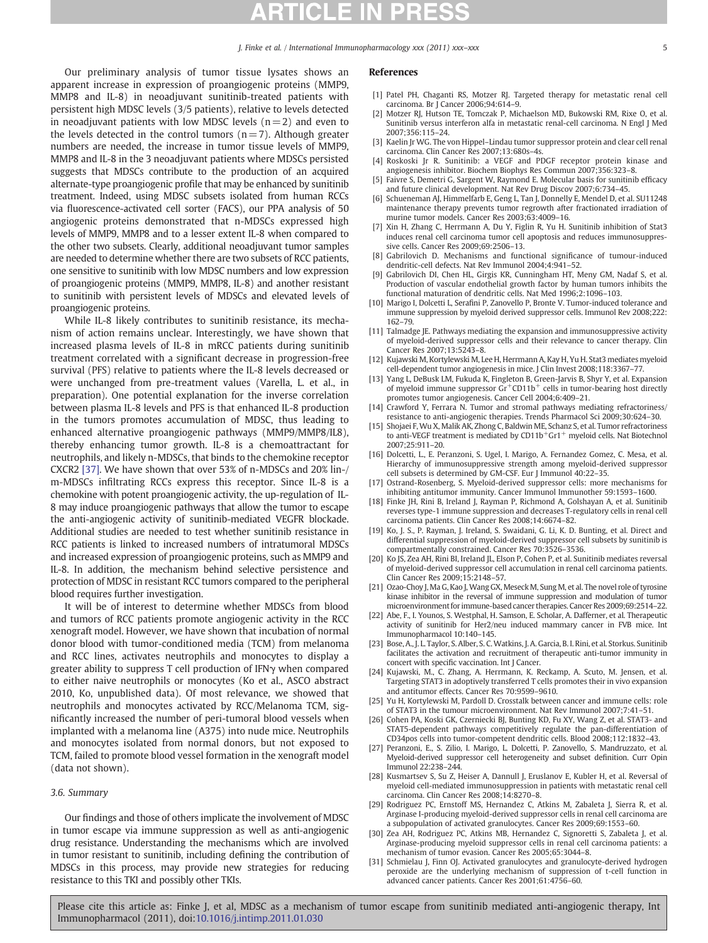J. Finke et al. / International Immunopharmacology xxx (2011) xxx–xxx 5

<span id="page-4-0"></span>Our preliminary analysis of tumor tissue lysates shows an apparent increase in expression of proangiogenic proteins (MMP9, MMP8 and IL-8) in neoadjuvant sunitinib-treated patients with persistent high MDSC levels (3/5 patients), relative to levels detected in neoadjuvant patients with low MDSC levels  $(n=2)$  and even to the levels detected in the control tumors  $(n=7)$ . Although greater numbers are needed, the increase in tumor tissue levels of MMP9, MMP8 and IL-8 in the 3 neoadjuvant patients where MDSCs persisted suggests that MDSCs contribute to the production of an acquired alternate-type proangiogenic profile that may be enhanced by sunitinib treatment. Indeed, using MDSC subsets isolated from human RCCs via fluorescence-activated cell sorter (FACS), our PPA analysis of 50 angiogenic proteins demonstrated that n-MDSCs expressed high levels of MMP9, MMP8 and to a lesser extent IL-8 when compared to the other two subsets. Clearly, additional neoadjuvant tumor samples are needed to determine whether there are two subsets of RCC patients, one sensitive to sunitinib with low MDSC numbers and low expression of proangiogenic proteins (MMP9, MMP8, IL-8) and another resistant to sunitinib with persistent levels of MDSCs and elevated levels of proangiogenic proteins.

While IL-8 likely contributes to sunitinib resistance, its mechanism of action remains unclear. Interestingly, we have shown that increased plasma levels of IL-8 in mRCC patients during sunitinib treatment correlated with a significant decrease in progression-free survival (PFS) relative to patients where the IL-8 levels decreased or were unchanged from pre-treatment values (Varella, L. et al., in preparation). One potential explanation for the inverse correlation between plasma IL-8 levels and PFS is that enhanced IL-8 production in the tumors promotes accumulation of MDSC, thus leading to enhanced alternative proangiogenic pathways (MMP9/MMP8/IL8), thereby enhancing tumor growth. IL-8 is a chemoattractant for neutrophils, and likely n-MDSCs, that binds to the chemokine receptor CXCR2 [\[37\].](#page-5-0) We have shown that over 53% of n-MDSCs and 20% lin-/ m-MDSCs infiltrating RCCs express this receptor. Since IL-8 is a chemokine with potent proangiogenic activity, the up-regulation of IL-8 may induce proangiogenic pathways that allow the tumor to escape the anti-angiogenic activity of sunitinib-mediated VEGFR blockade. Additional studies are needed to test whether sunitinib resistance in RCC patients is linked to increased numbers of intratumoral MDSCs and increased expression of proangiogenic proteins, such as MMP9 and IL-8. In addition, the mechanism behind selective persistence and protection of MDSC in resistant RCC tumors compared to the peripheral blood requires further investigation.

It will be of interest to determine whether MDSCs from blood and tumors of RCC patients promote angiogenic activity in the RCC xenograft model. However, we have shown that incubation of normal donor blood with tumor-conditioned media (TCM) from melanoma and RCC lines, activates neutrophils and monocytes to display a greater ability to suppress T cell production of IFNγ when compared to either naive neutrophils or monocytes (Ko et al., ASCO abstract 2010, Ko, unpublished data). Of most relevance, we showed that neutrophils and monocytes activated by RCC/Melanoma TCM, significantly increased the number of peri-tumoral blood vessels when implanted with a melanoma line (A375) into nude mice. Neutrophils and monocytes isolated from normal donors, but not exposed to TCM, failed to promote blood vessel formation in the xenograft model (data not shown).

### 3.6. Summary

Our findings and those of others implicate the involvement of MDSC in tumor escape via immune suppression as well as anti-angiogenic drug resistance. Understanding the mechanisms which are involved in tumor resistant to sunitinib, including defining the contribution of MDSCs in this process, may provide new strategies for reducing resistance to this TKI and possibly other TKIs.

## References

- [1] Patel PH, Chaganti RS, Motzer RJ. Targeted therapy for metastatic renal cell carcinoma. Br J Cancer 2006;94:614–9.
- [2] Motzer RJ, Hutson TE, Tomczak P, Michaelson MD, Bukowski RM, Rixe O, et al. Sunitinib versus interferon alfa in metastatic renal-cell carcinoma. N Engl J Med 2007;356:115–24.
- [3] Kaelin Jr WG. The von Hippel–Lindau tumor suppressor protein and clear cell renal carcinoma. Clin Cancer Res 2007;13:680s–4s.
- [4] Roskoski Jr R. Sunitinib: a VEGF and PDGF receptor protein kinase and angiogenesis inhibitor. Biochem Biophys Res Commun 2007;356:323–8.
- [5] Faivre S, Demetri G, Sargent W, Raymond E. Molecular basis for sunitinib efficacy and future clinical development. Nat Rev Drug Discov 2007;6:734–45.
- [6] Schueneman AJ, Himmelfarb E, Geng L, Tan J, Donnelly E, Mendel D, et al. SU11248 maintenance therapy prevents tumor regrowth after fractionated irradiation of murine tumor models. Cancer Res 2003:63:4009-16.
- [7] Xin H, Zhang C, Herrmann A, Du Y, Figlin R, Yu H. Sunitinib inhibition of Stat3 induces renal cell carcinoma tumor cell apoptosis and reduces immunosuppressive cells. Cancer Res 2009;69:2506–13.
- [8] Gabrilovich D. Mechanisms and functional significance of tumour-induced dendritic-cell defects. Nat Rev Immunol 2004;4:941–52.
- [9] Gabrilovich DI, Chen HL, Girgis KR, Cunningham HT, Meny GM, Nadaf S, et al. Production of vascular endothelial growth factor by human tumors inhibits the functional maturation of dendritic cells. Nat Med 1996;2:1096–103.
- [10] Marigo I, Dolcetti L, Serafini P, Zanovello P, Bronte V. Tumor-induced tolerance and immune suppression by myeloid derived suppressor cells. Immunol Rev 2008;222: 162–79.
- [11] Talmadge JE. Pathways mediating the expansion and immunosuppressive activity of myeloid-derived suppressor cells and their relevance to cancer therapy. Clin Cancer Res 2007;13:5243–8.
- [12] Kujawski M, Kortylewski M, Lee H, Herrmann A, Kay H, Yu H. Stat3 mediates myeloid cell-dependent tumor angiogenesis in mice. J Clin Invest 2008;118:3367–77.
- [13] Yang L, DeBusk LM, Fukuda K, Fingleton B, Green-Jarvis B, Shyr Y, et al. Expansion of myeloid immune suppressor  $Gr^+CD11b^+$  cells in tumor-bearing host directly promotes tumor angiogenesis. Cancer Cell 2004;6:409–21.
- [14] Crawford Y, Ferrara N. Tumor and stromal pathways mediating refractoriness/ resistance to anti-angiogenic therapies. Trends Pharmacol Sci 2009;30:624–30.
- [15] Shojaei F,Wu X, Malik AK, Zhong C, Baldwin ME, Schanz S, et al. Tumor refractoriness to anti-VEGF treatment is mediated by CD11b<sup>+</sup>Gr1<sup>+</sup> myeloid cells. Nat Biotechnol 2007;25:911–20.
- [16] Dolcetti, L., E. Peranzoni, S. Ugel, I. Marigo, A. Fernandez Gomez, C. Mesa, et al. Hierarchy of immunosuppressive strength among myeloid-derived suppressor cell subsets is determined by GM-CSF. Eur J Immunol 40:22–35.
- [17] Ostrand-Rosenberg, S. Myeloid-derived suppressor cells: more mechanisms for inhibiting antitumor immunity. Cancer Immunol Immunother 59:1593–1600.
- [18] Finke JH, Rini B, Ireland J, Rayman P, Richmond A, Golshayan A, et al. Sunitinib reverses type-1 immune suppression and decreases T-regulatory cells in renal cell carcinoma patients. Clin Cancer Res 2008;14:6674–82.
- [19] Ko, J. S., P. Rayman, J. Ireland, S. Swaidani, G. Li, K. D. Bunting, et al. Direct and differential suppression of myeloid-derived suppressor cell subsets by sunitinib is compartmentally constrained. Cancer Res 70:3526–3536.
- [20] Ko JS, Zea AH, Rini BI, Ireland JL, Elson P, Cohen P, et al. Sunitinib mediates reversal of myeloid-derived suppressor cell accumulation in renal cell carcinoma patients. Clin Cancer Res 2009;15:2148–57.
- [21] Ozao-Choy J, Ma G, Kao J, Wang GX, Meseck M, Sung M, et al. The novel role of tyrosine kinase inhibitor in the reversal of immune suppression and modulation of tumor microenvironment for immune-based cancer therapies. Cancer Res 2009;69:2514–22.
- [22] Abe, F., I. Younos, S. Westphal, H. Samson, E. Scholar, A. Dafferner, et al. Therapeutic activity of sunitinib for Her2/neu induced mammary cancer in FVB mice. Int Immunopharmacol 10:140–145.
- [23] Bose, A., J. L. Taylor, S. Alber, S. C.Watkins, J. A. Garcia, B. I. Rini, et al. Storkus. Sunitinib facilitates the activation and recruitment of therapeutic anti-tumor immunity in concert with specific vaccination. Int J Cancer.
- [24] Kujawski, M., C. Zhang, A. Herrmann, K. Reckamp, A. Scuto, M. Jensen, et al. Targeting STAT3 in adoptively transferred T cells promotes their in vivo expansion and antitumor effects. Cancer Res 70:9599–9610.
- [25] Yu H, Kortylewski M, Pardoll D. Crosstalk between cancer and immune cells: role of STAT3 in the tumour microenvironment. Nat Rev Immunol 2007;7:41–51.
- [26] Cohen PA, Koski GK, Czerniecki BJ, Bunting KD, Fu XY, Wang Z, et al. STAT3- and STAT5-dependent pathways competitively regulate the pan-differentiation of CD34pos cells into tumor-competent dendritic cells. Blood 2008;112:1832–43.
- [27] Peranzoni, E., S. Zilio, I. Marigo, L. Dolcetti, P. Zanovello, S. Mandruzzato, et al. Myeloid-derived suppressor cell heterogeneity and subset definition. Curr Opin Immunol 22:238–244.
- [28] Kusmartsev S, Su Z, Heiser A, Dannull J, Eruslanov E, Kubler H, et al. Reversal of myeloid cell-mediated immunosuppression in patients with metastatic renal cell carcinoma. Clin Cancer Res 2008;14:8270–8.
- [29] Rodriguez PC, Ernstoff MS, Hernandez C, Atkins M, Zabaleta J, Sierra R, et al. Arginase I-producing myeloid-derived suppressor cells in renal cell carcinoma are a subpopulation of activated granulocytes. Cancer Res 2009;69:1553–60.
- [30] Zea AH, Rodriguez PC, Atkins MB, Hernandez C, Signoretti S, Zabaleta J, et al. Arginase-producing myeloid suppressor cells in renal cell carcinoma patients: a mechanism of tumor evasion. Cancer Res 2005;65:3044–8.
- [31] Schmielau J, Finn OJ. Activated granulocytes and granulocyte-derived hydrogen peroxide are the underlying mechanism of suppression of t-cell function in advanced cancer patients. Cancer Res 2001;61:4756–60.